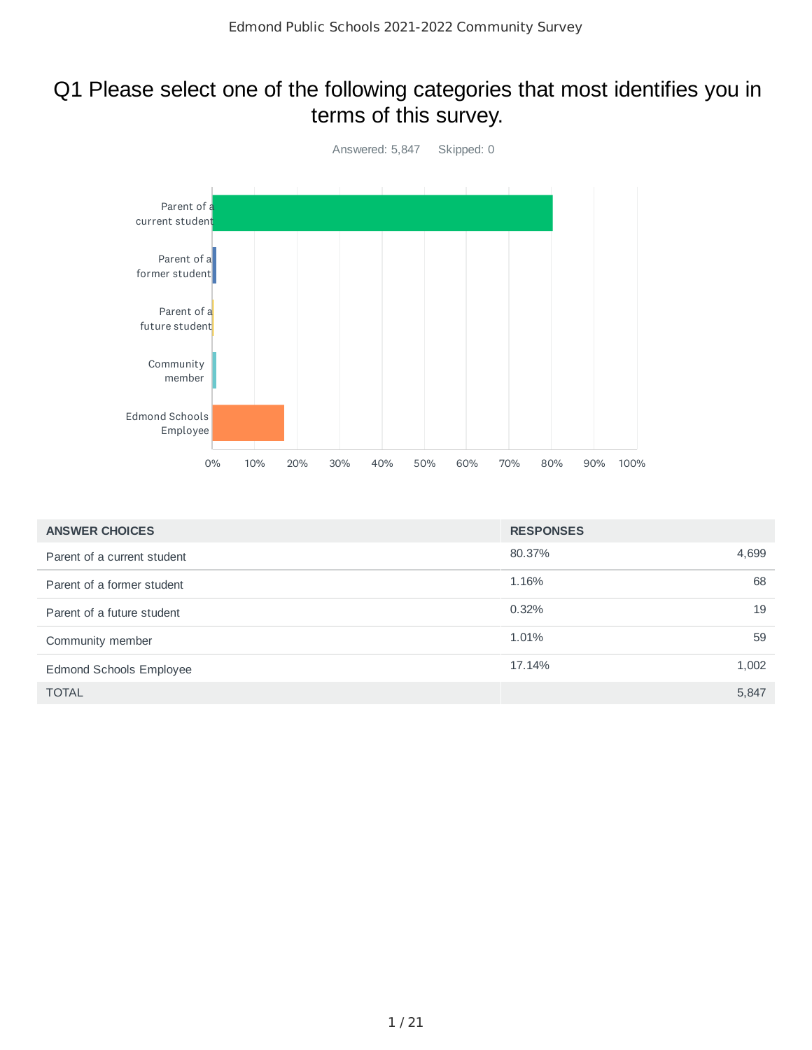### Q1 Please select one of the following categories that most identifies you in terms of this survey.



| <b>ANSWER CHOICES</b>          | <b>RESPONSES</b> |       |
|--------------------------------|------------------|-------|
| Parent of a current student    | 80.37%           | 4,699 |
| Parent of a former student     | 1.16%            | 68    |
| Parent of a future student     | 0.32%            | 19    |
| Community member               | 1.01%            | 59    |
| <b>Edmond Schools Employee</b> | 17.14%           | 1,002 |
| <b>TOTAL</b>                   |                  | 5,847 |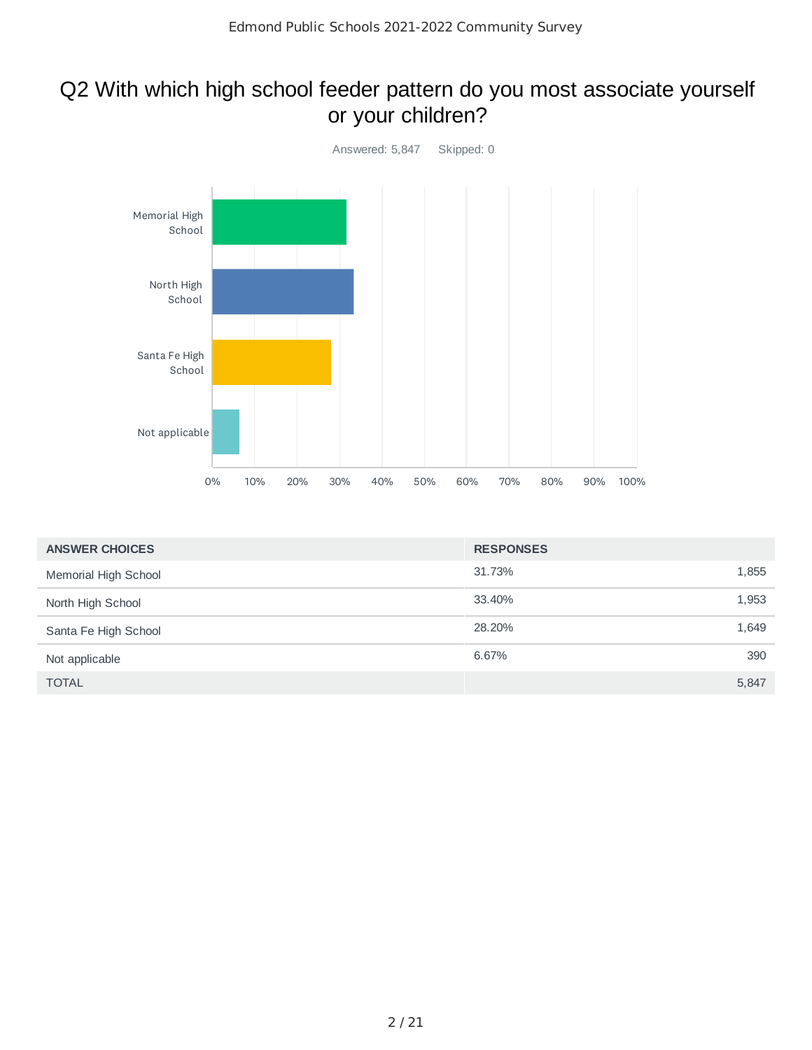### Q2 With which high school feeder pattern do you most associate yourself or your children?



| <b>ANSWER CHOICES</b> | <b>RESPONSES</b> |       |
|-----------------------|------------------|-------|
| Memorial High School  | 31.73%           | 1,855 |
| North High School     | 33.40%           | 1,953 |
| Santa Fe High School  | 28.20%           | 1,649 |
| Not applicable        | 6.67%            | 390   |
| <b>TOTAL</b>          |                  | 5,847 |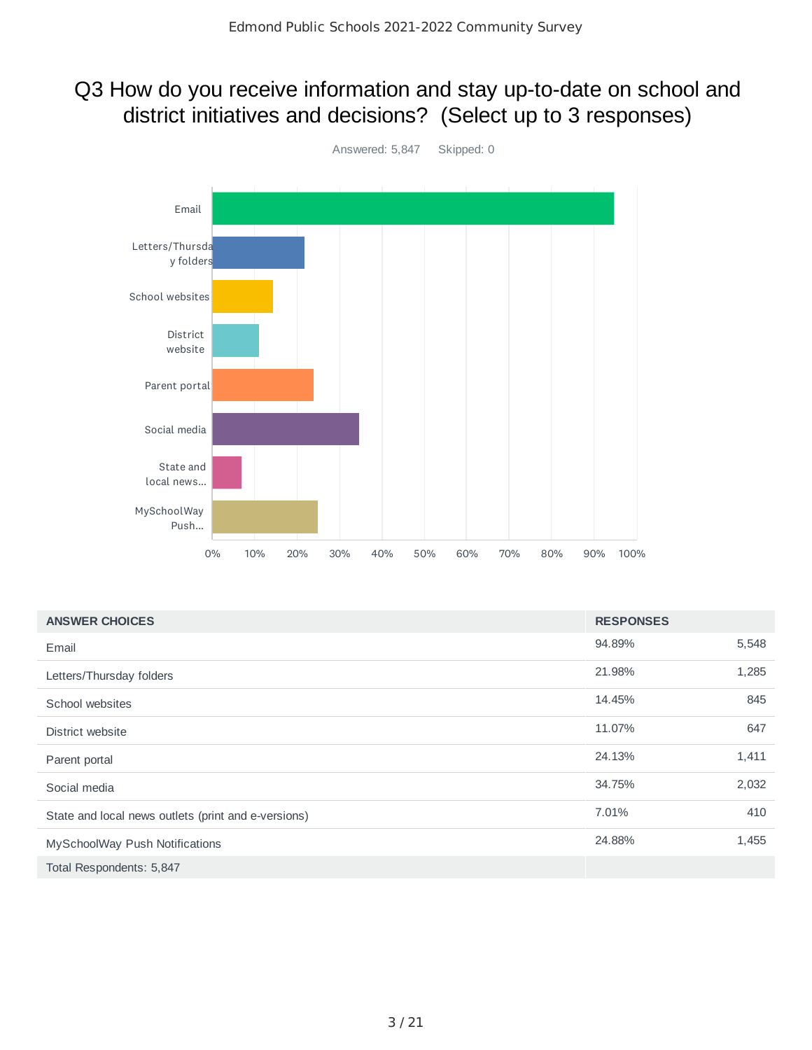### Q3 How do you receive information and stay up-to-date on school and district initiatives and decisions? (Select up to 3 responses)



| <b>ANSWER CHOICES</b>                               | <b>RESPONSES</b> |       |
|-----------------------------------------------------|------------------|-------|
| Email                                               | 94.89%           | 5,548 |
| Letters/Thursday folders                            | 21.98%           | 1,285 |
| School websites                                     | 14.45%           | 845   |
| District website                                    | 11.07%           | 647   |
| Parent portal                                       | 24.13%           | 1,411 |
| Social media                                        | 34.75%           | 2,032 |
| State and local news outlets (print and e-versions) | 7.01%            | 410   |
| MySchoolWay Push Notifications                      | 24.88%           | 1,455 |
| Total Respondents: 5,847                            |                  |       |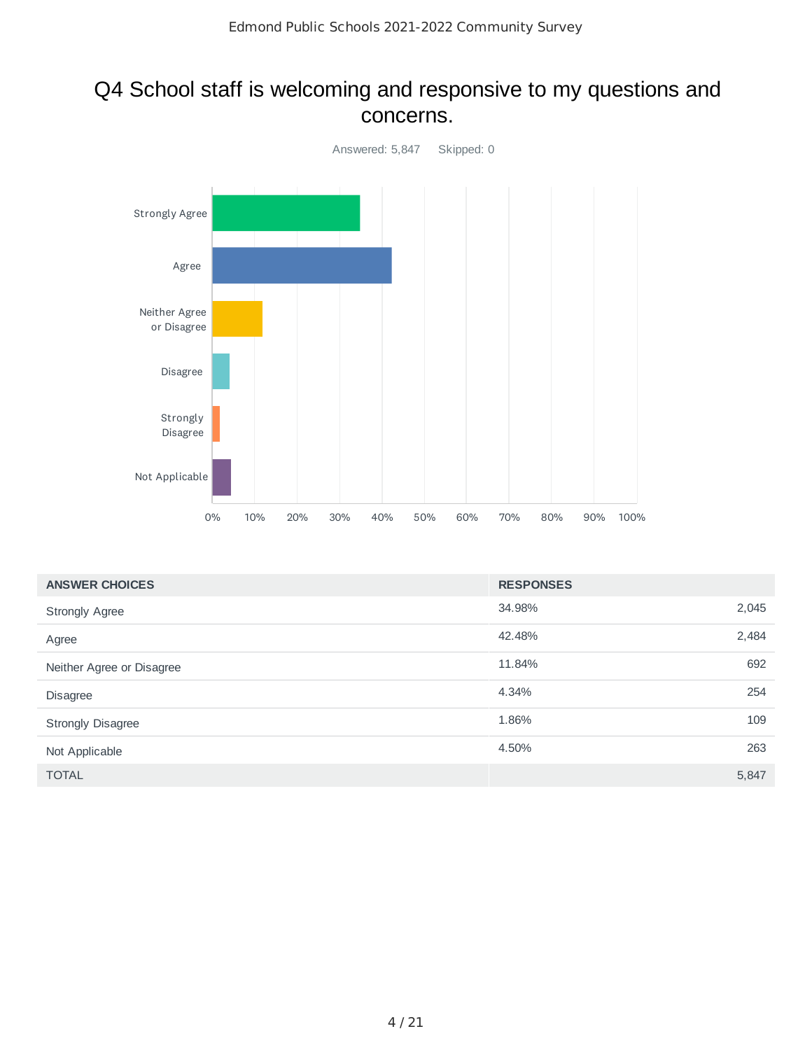### Q4 School staff is welcoming and responsive to my questions and concerns.



| <b>ANSWER CHOICES</b>     | <b>RESPONSES</b> |       |
|---------------------------|------------------|-------|
| <b>Strongly Agree</b>     | 34.98%           | 2,045 |
| Agree                     | 42.48%           | 2,484 |
| Neither Agree or Disagree | 11.84%           | 692   |
| <b>Disagree</b>           | 4.34%            | 254   |
| <b>Strongly Disagree</b>  | 1.86%            | 109   |
| Not Applicable            | 4.50%            | 263   |
| <b>TOTAL</b>              |                  | 5,847 |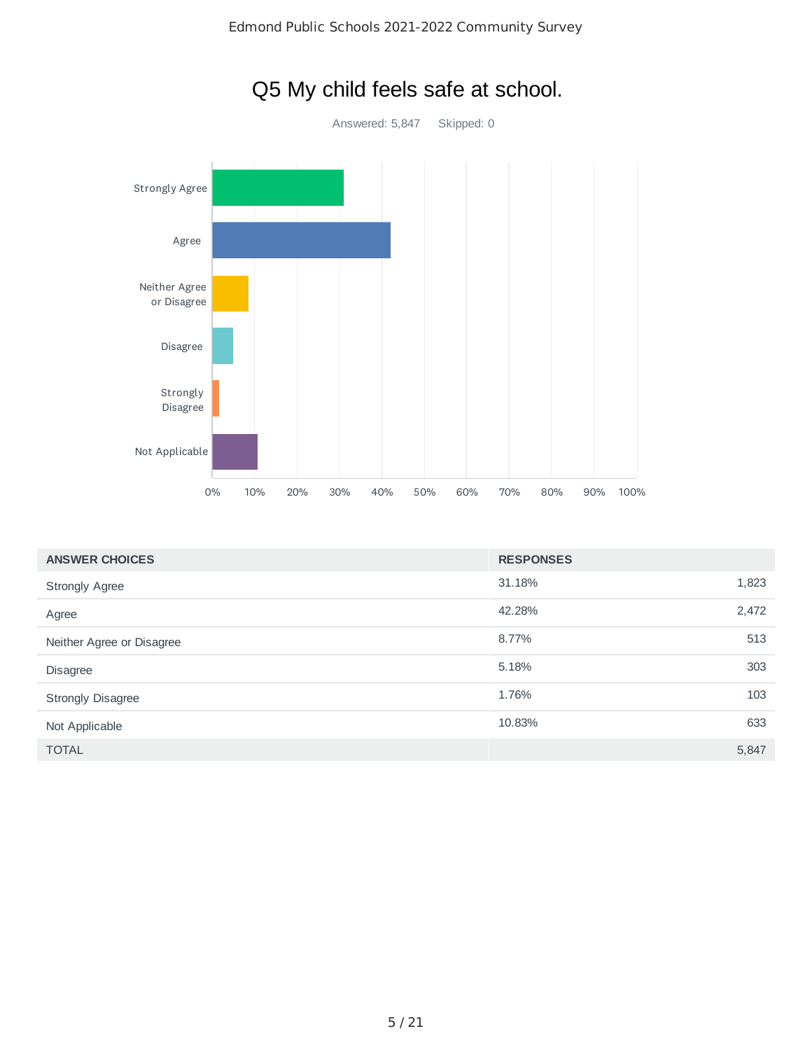

# Q5 My child feels safe at school.

| <b>ANSWER CHOICES</b>     | <b>RESPONSES</b> |       |
|---------------------------|------------------|-------|
| <b>Strongly Agree</b>     | 31.18%           | 1,823 |
| Agree                     | 42.28%           | 2,472 |
| Neither Agree or Disagree | 8.77%            | 513   |
| <b>Disagree</b>           | 5.18%            | 303   |
| <b>Strongly Disagree</b>  | 1.76%            | 103   |
| Not Applicable            | 10.83%           | 633   |
| <b>TOTAL</b>              |                  | 5,847 |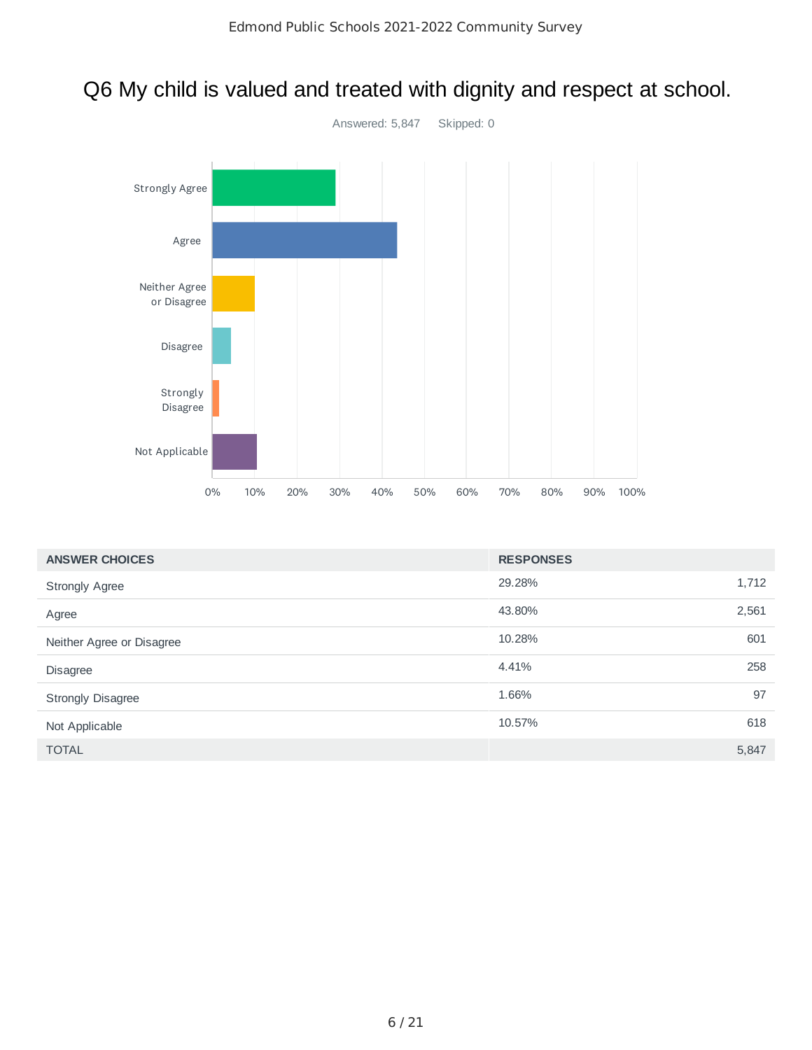## Q6 My child is valued and treated with dignity and respect at school.



| <b>ANSWER CHOICES</b>     | <b>RESPONSES</b> |       |
|---------------------------|------------------|-------|
| <b>Strongly Agree</b>     | 29.28%           | 1,712 |
| Agree                     | 43.80%           | 2,561 |
| Neither Agree or Disagree | 10.28%           | 601   |
| <b>Disagree</b>           | 4.41%            | 258   |
| Strongly Disagree         | 1.66%            | 97    |
| Not Applicable            | 10.57%           | 618   |
| <b>TOTAL</b>              |                  | 5,847 |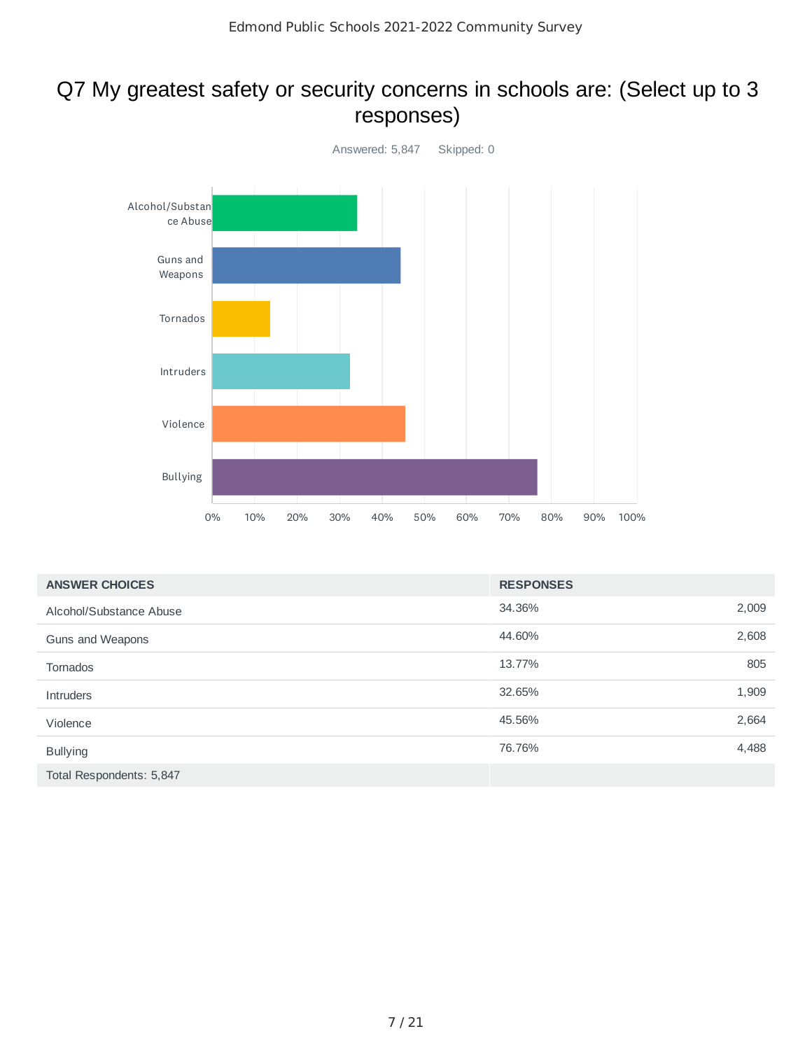### Q7 My greatest safety or security concerns in schools are: (Select up to 3 responses)



| <b>ANSWER CHOICES</b>    | <b>RESPONSES</b> |       |
|--------------------------|------------------|-------|
| Alcohol/Substance Abuse  | 34.36%           | 2,009 |
| Guns and Weapons         | 44.60%           | 2,608 |
| Tornados                 | 13.77%           | 805   |
| <b>Intruders</b>         | 32.65%           | 1,909 |
| Violence                 | 45.56%           | 2,664 |
| <b>Bullying</b>          | 76.76%           | 4,488 |
| Total Respondents: 5,847 |                  |       |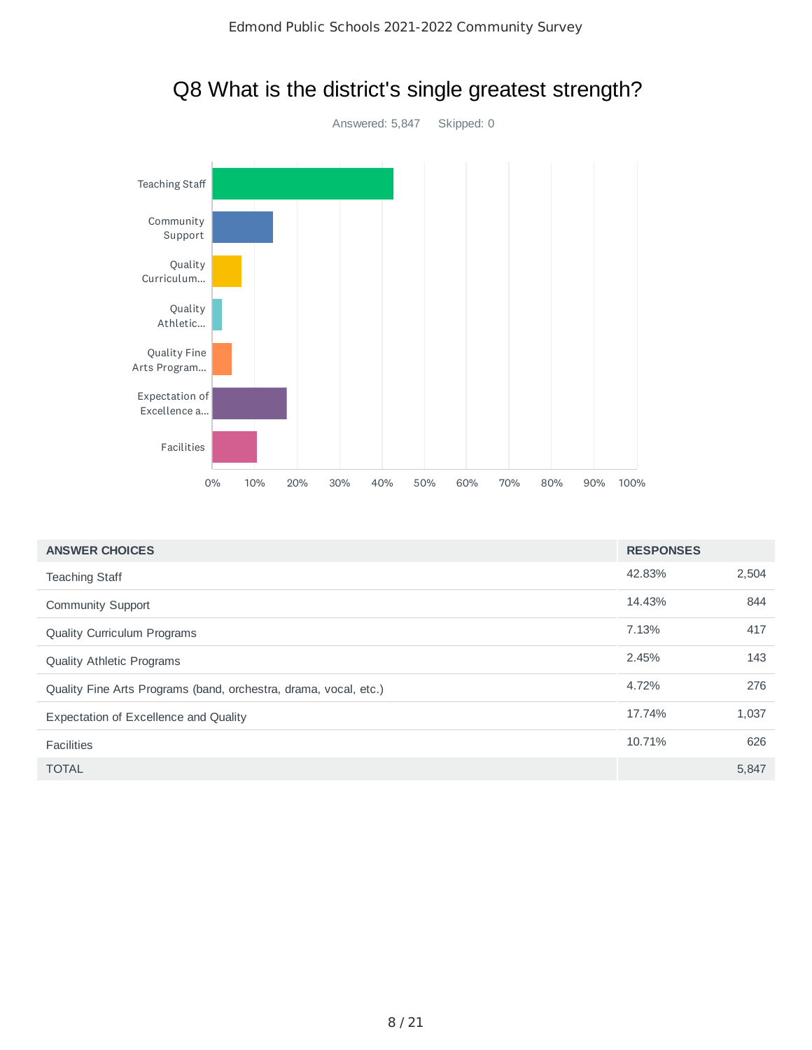

| <b>ANSWER CHOICES</b>                                            | <b>RESPONSES</b> |       |
|------------------------------------------------------------------|------------------|-------|
| <b>Teaching Staff</b>                                            | 42.83%           | 2,504 |
| Community Support                                                | 14.43%           | 844   |
| Quality Curriculum Programs                                      | 7.13%            | 417   |
| Quality Athletic Programs                                        | 2.45%            | 143   |
| Quality Fine Arts Programs (band, orchestra, drama, vocal, etc.) | 4.72%            | 276   |
| <b>Expectation of Excellence and Quality</b>                     | 17.74%           | 1,037 |
| <b>Facilities</b>                                                | 10.71%           | 626   |
| <b>TOTAL</b>                                                     |                  | 5,847 |

### Q8 What is the district's single greatest strength?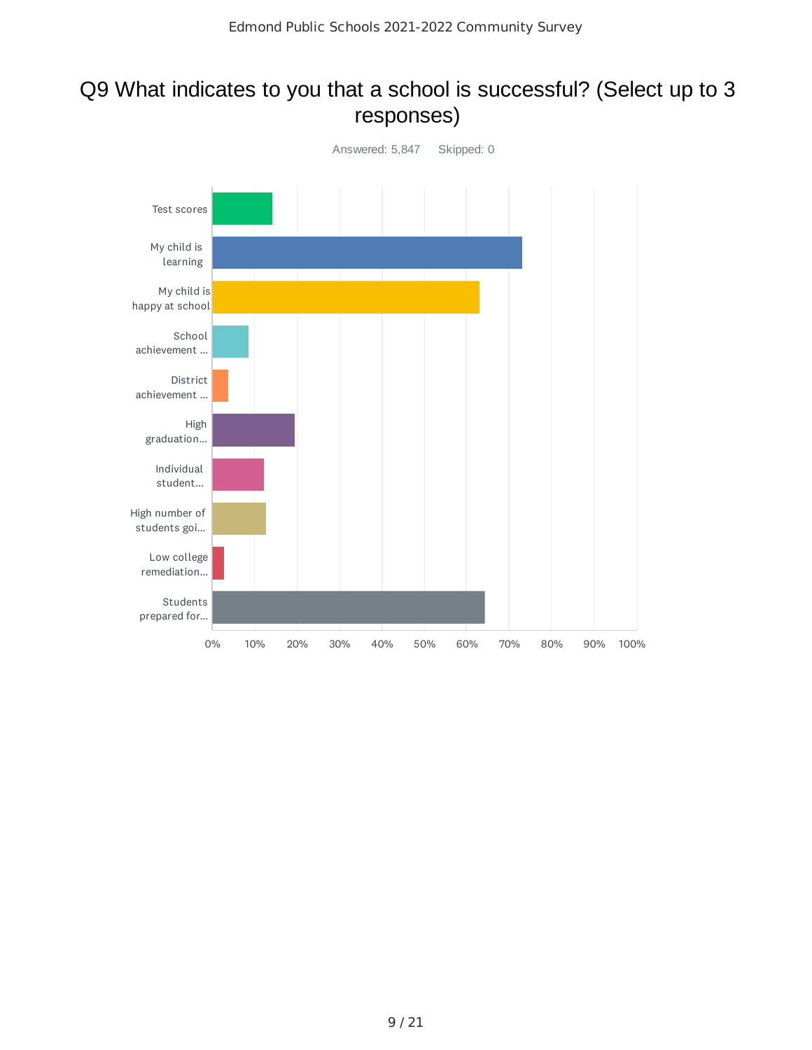### Q9 What indicates to you that a school is successful? (Select up to 3 responses)

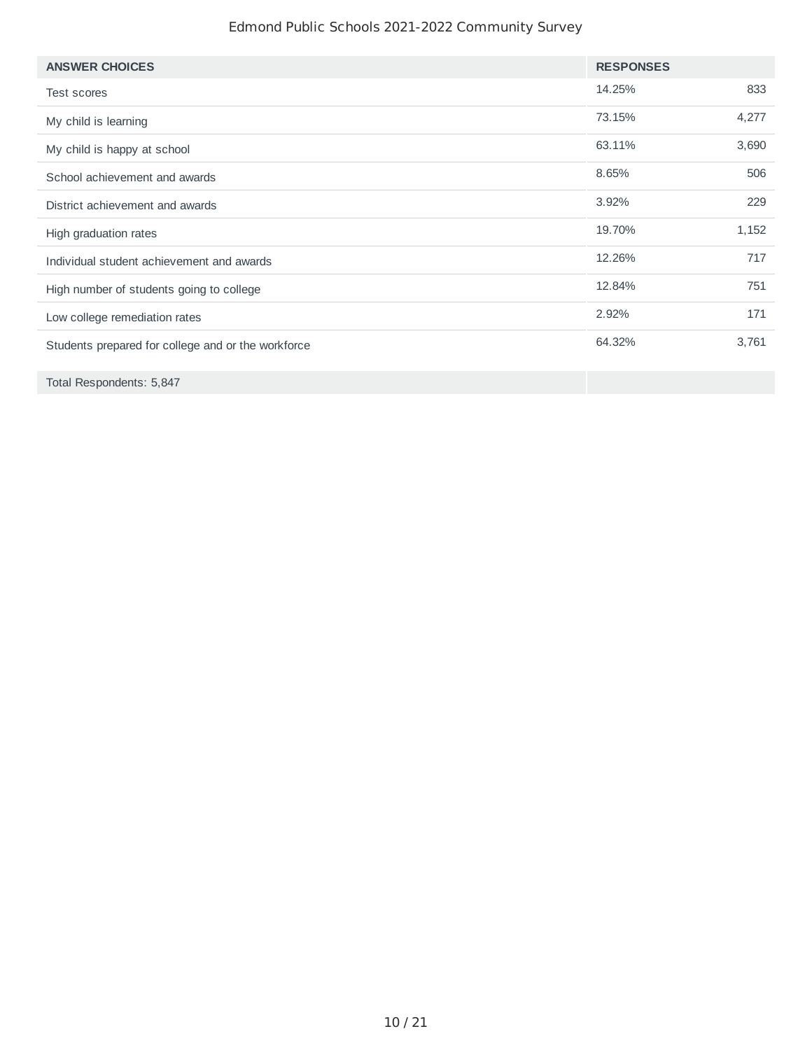#### Edmond Public Schools 2021-2022 Community Survey

| <b>ANSWER CHOICES</b>                              | <b>RESPONSES</b> |       |
|----------------------------------------------------|------------------|-------|
| <b>Test scores</b>                                 | 14.25%           | 833   |
| My child is learning                               | 73.15%           | 4,277 |
| My child is happy at school                        | 63.11%           | 3,690 |
| School achievement and awards                      | 8.65%            | 506   |
| District achievement and awards                    | 3.92%            | 229   |
| High graduation rates                              | 19.70%           | 1,152 |
| Individual student achievement and awards          | 12.26%           | 717   |
| High number of students going to college           | 12.84%           | 751   |
| Low college remediation rates                      | 2.92%            | 171   |
| Students prepared for college and or the workforce | 64.32%           | 3,761 |
| Total Respondents: 5,847                           |                  |       |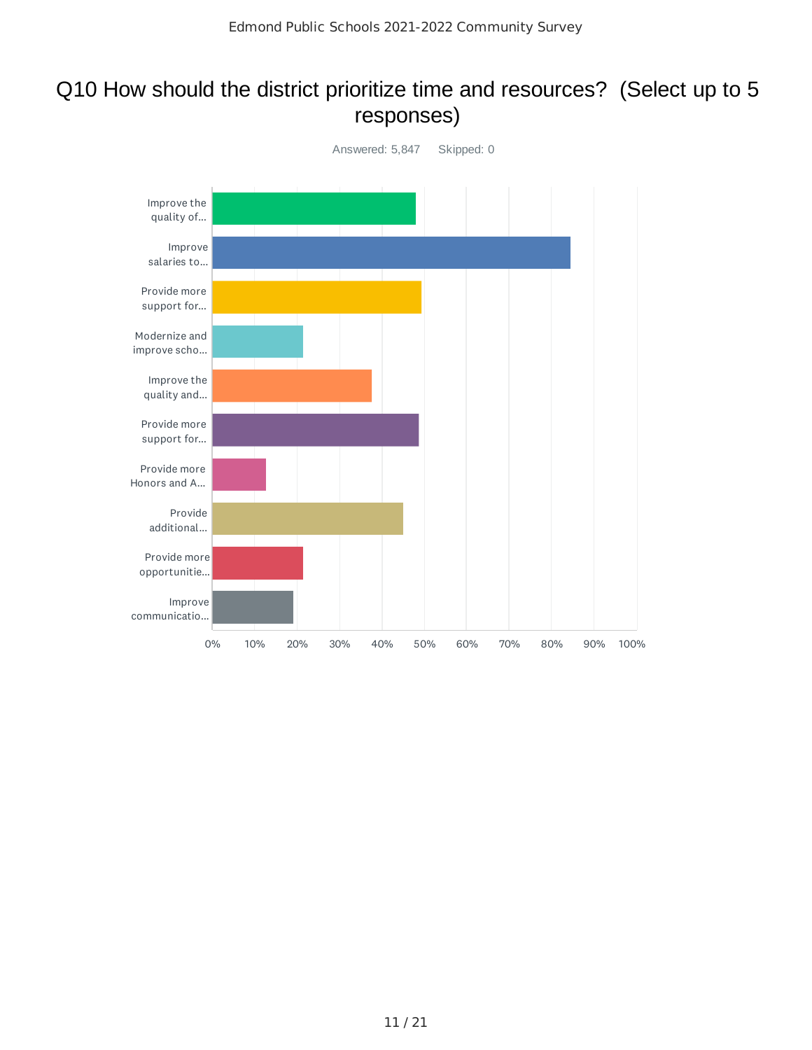### Q10 How should the district prioritize time and resources? (Select up to 5 responses)

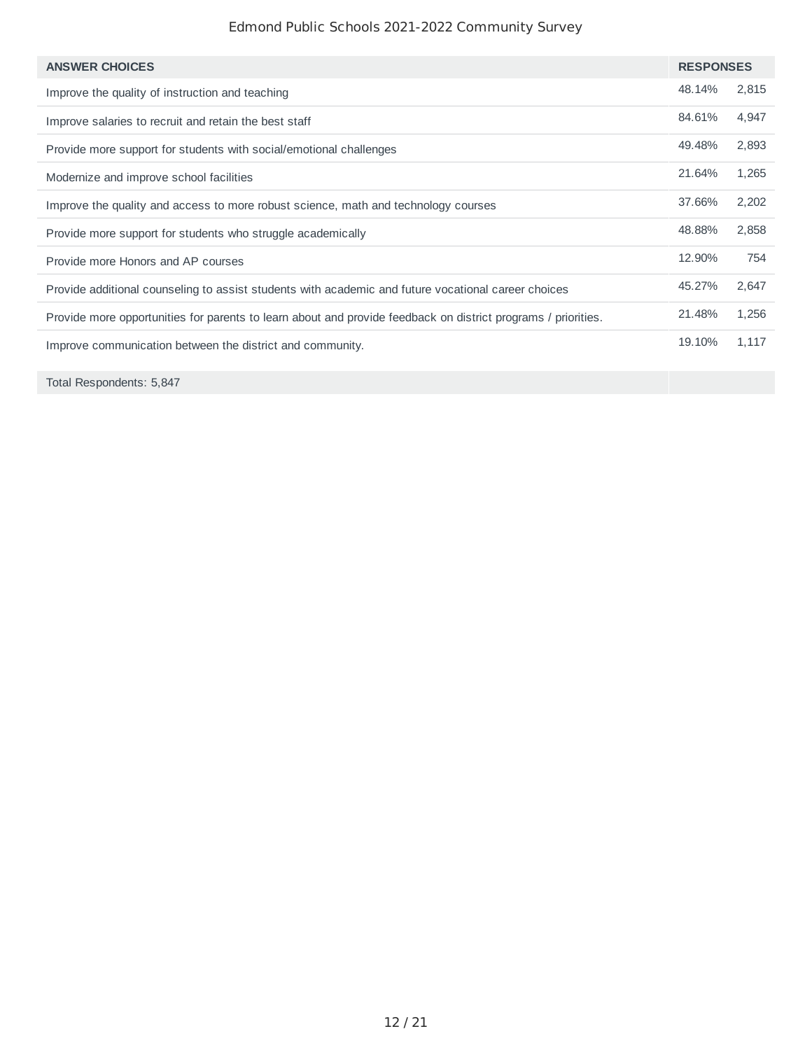#### Edmond Public Schools 2021-2022 Community Survey

| <b>RESPONSES</b> |
|------------------|
|                  |
| 2,815<br>48.14%  |
| 84.61%<br>4,947  |
| 2,893<br>49.48%  |
| 1.265<br>21.64%  |
| 2,202<br>37.66%  |
| 48.88%<br>2,858  |
| 12.90%<br>754    |
| 45.27%<br>2,647  |
| 1,256<br>21.48%  |
| 19.10%<br>1,117  |
|                  |

Total Respondents: 5,847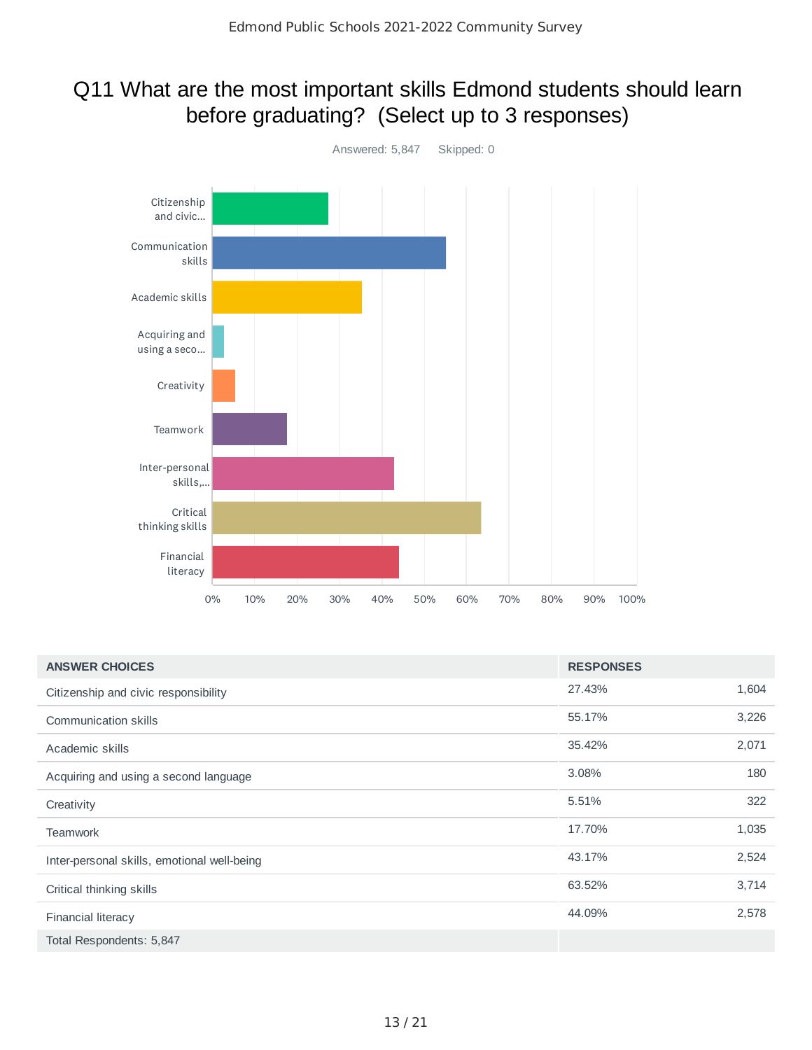### Q11 What are the most important skills Edmond students should learn before graduating? (Select up to 3 responses)



| <b>ANSWER CHOICES</b>                       | <b>RESPONSES</b> |       |
|---------------------------------------------|------------------|-------|
| Citizenship and civic responsibility        | 27.43%           | 1,604 |
| <b>Communication skills</b>                 | 55.17%           | 3,226 |
| Academic skills                             | 35.42%           | 2,071 |
| Acquiring and using a second language       | 3.08%            | 180   |
| Creativity                                  | 5.51%            | 322   |
| <b>Teamwork</b>                             | 17.70%           | 1,035 |
| Inter-personal skills, emotional well-being | 43.17%           | 2,524 |
| Critical thinking skills                    | 63.52%           | 3,714 |
| <b>Financial literacy</b>                   | 44.09%           | 2,578 |
| Total Respondents: 5,847                    |                  |       |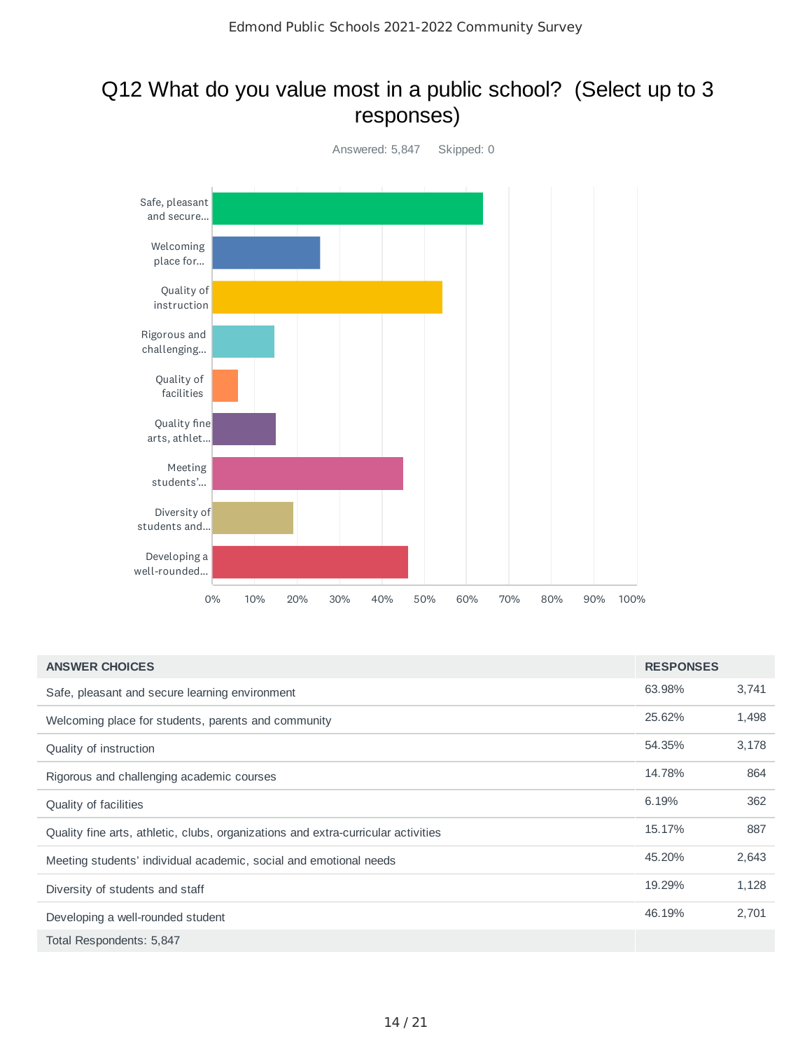### Q12 What do you value most in a public school? (Select up to 3 responses)



| <b>ANSWER CHOICES</b>                                                             | <b>RESPONSES</b> |       |
|-----------------------------------------------------------------------------------|------------------|-------|
| Safe, pleasant and secure learning environment                                    | 63.98%           | 3,741 |
| Welcoming place for students, parents and community                               | 25.62%           | 1,498 |
| Quality of instruction                                                            | 54.35%           | 3,178 |
| Rigorous and challenging academic courses                                         | 14.78%           | 864   |
| Quality of facilities                                                             | 6.19%            | 362   |
| Quality fine arts, athletic, clubs, organizations and extra-curricular activities | 15.17%           | 887   |
| Meeting students' individual academic, social and emotional needs                 | 45.20%           | 2,643 |
| Diversity of students and staff                                                   | 19.29%           | 1,128 |
| Developing a well-rounded student                                                 | 46.19%           | 2,701 |
| Total Respondents: 5,847                                                          |                  |       |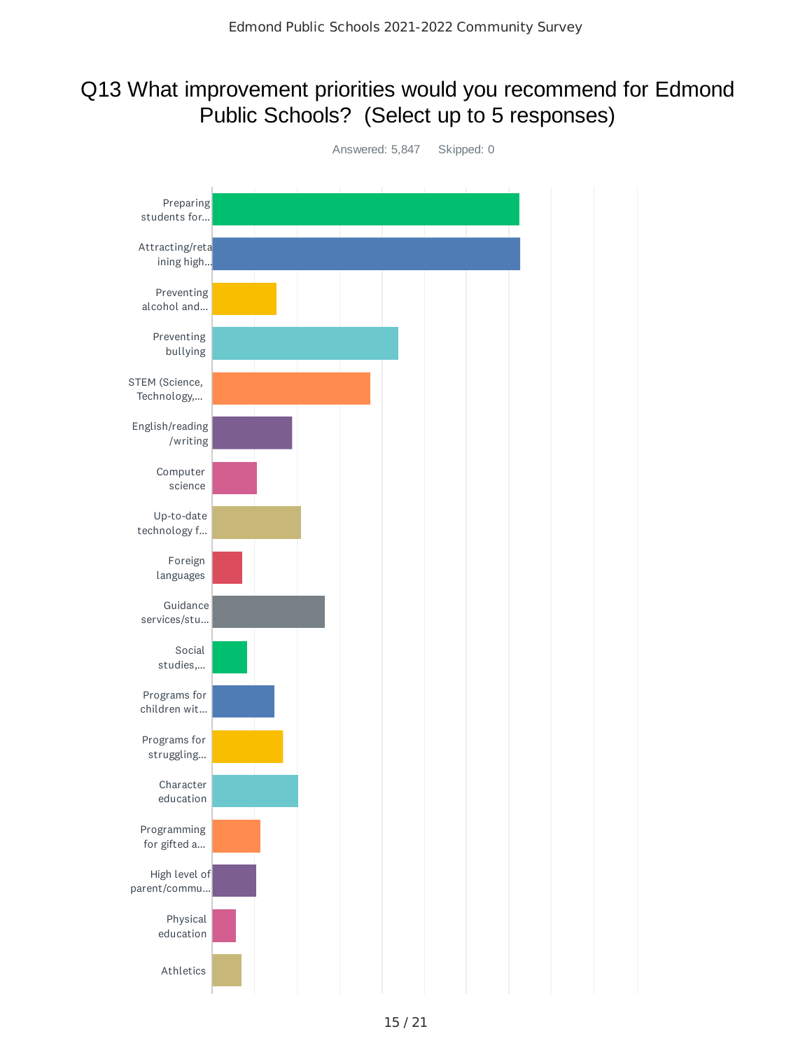### Q13 What improvement priorities would you recommend for Edmond Public Schools? (Select up to 5 responses)

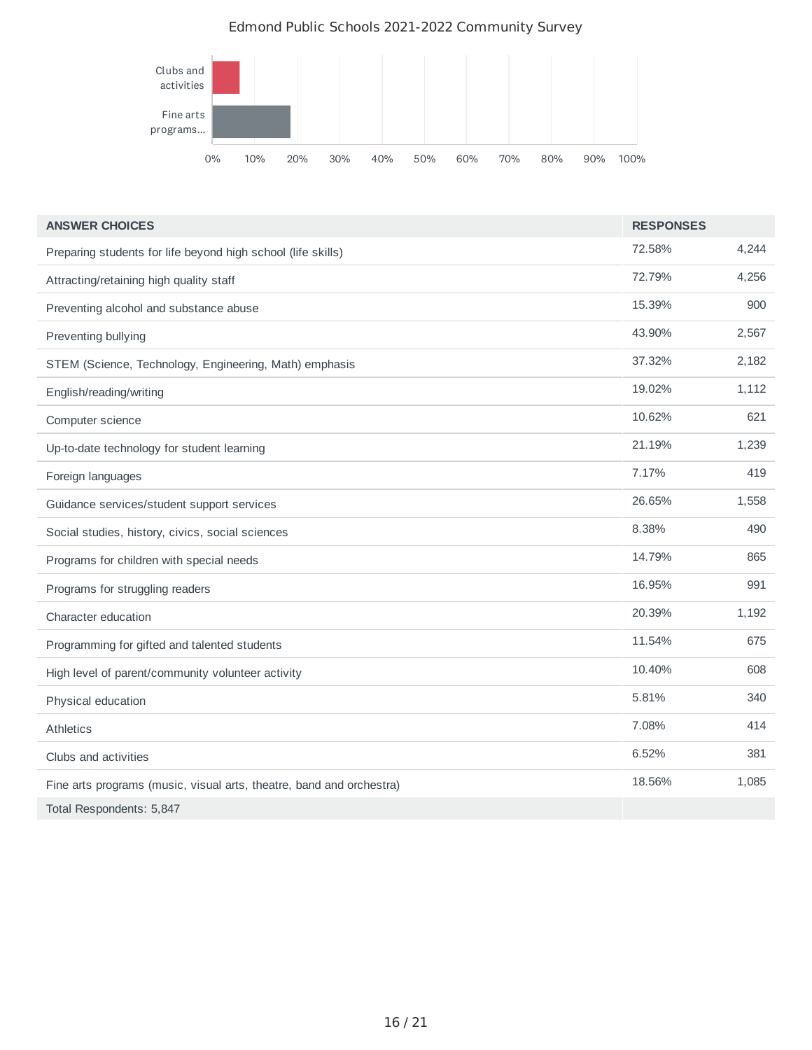#### Edmond Public Schools 2021-2022 Community Survey



| <b>ANSWER CHOICES</b>                                                | <b>RESPONSES</b> |       |
|----------------------------------------------------------------------|------------------|-------|
| Preparing students for life beyond high school (life skills)         | 72.58%           | 4,244 |
| Attracting/retaining high quality staff                              | 72.79%           | 4,256 |
| Preventing alcohol and substance abuse                               | 15.39%           | 900   |
| Preventing bullying                                                  | 43.90%           | 2,567 |
| STEM (Science, Technology, Engineering, Math) emphasis               | 37.32%           | 2,182 |
| English/reading/writing                                              | 19.02%           | 1,112 |
| Computer science                                                     | 10.62%           | 621   |
| Up-to-date technology for student learning                           | 21.19%           | 1,239 |
| Foreign languages                                                    | 7.17%            | 419   |
| Guidance services/student support services                           | 26.65%           | 1,558 |
| Social studies, history, civics, social sciences                     | 8.38%            | 490   |
| Programs for children with special needs                             | 14.79%           | 865   |
| Programs for struggling readers                                      | 16.95%           | 991   |
| Character education                                                  | 20.39%           | 1,192 |
| Programming for gifted and talented students                         | 11.54%           | 675   |
| High level of parent/community volunteer activity                    | 10.40%           | 608   |
| Physical education                                                   | 5.81%            | 340   |
| <b>Athletics</b>                                                     | 7.08%            | 414   |
| Clubs and activities                                                 | 6.52%            | 381   |
| Fine arts programs (music, visual arts, theatre, band and orchestra) | 18.56%           | 1,085 |
| Total Respondents: 5,847                                             |                  |       |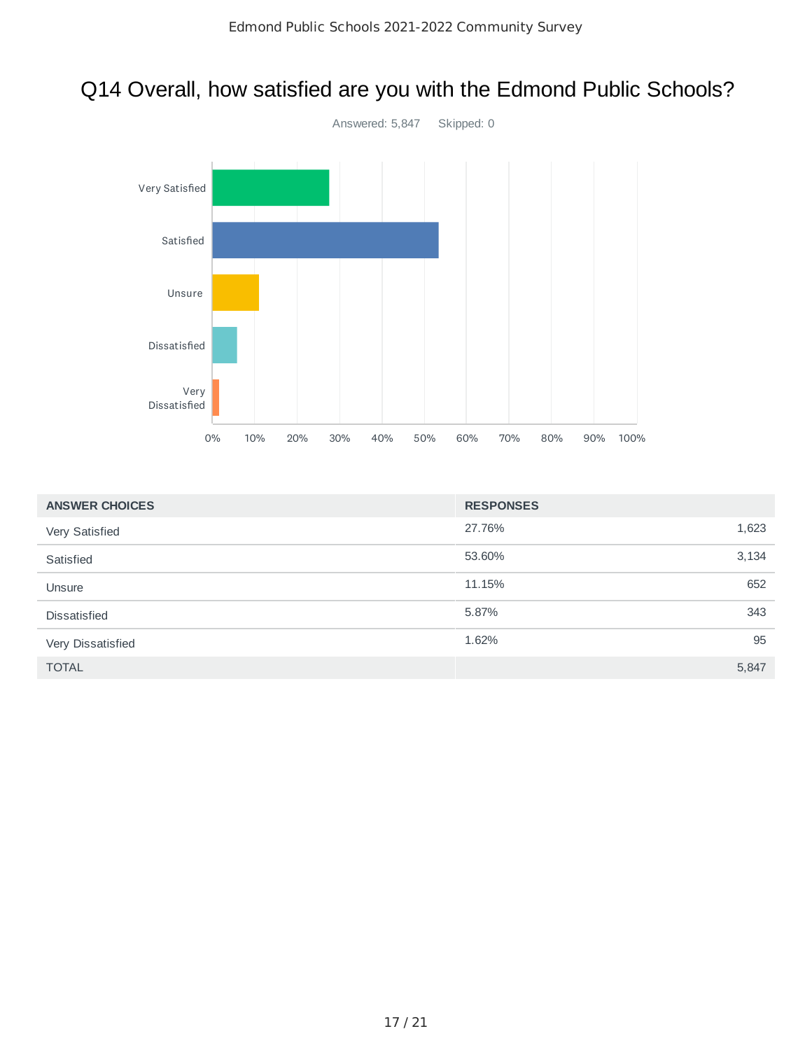# Q14 Overall, how satisfied are you with the Edmond Public Schools?



| <b>ANSWER CHOICES</b> | <b>RESPONSES</b> |       |
|-----------------------|------------------|-------|
| Very Satisfied        | 27.76%           | 1,623 |
| Satisfied             | 53.60%           | 3,134 |
| Unsure                | 11.15%           | 652   |
| <b>Dissatisfied</b>   | 5.87%            | 343   |
| Very Dissatisfied     | 1.62%            | 95    |
| <b>TOTAL</b>          |                  | 5,847 |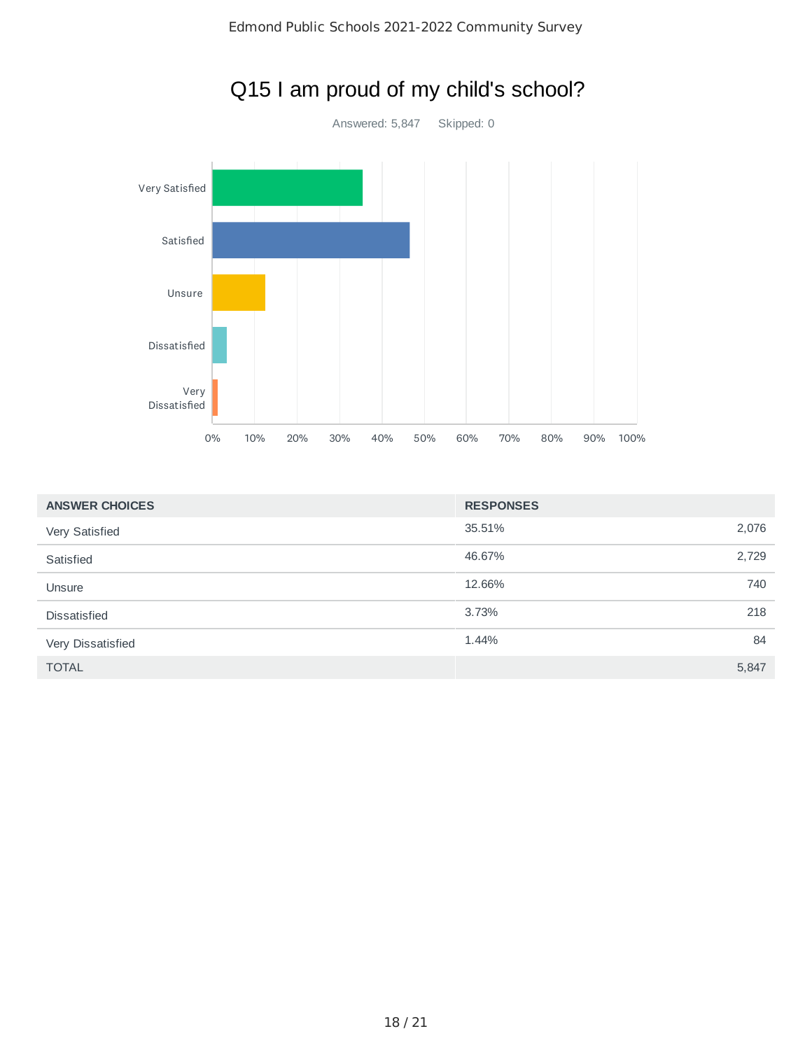

# Q15 I am proud of my child's school?

| <b>ANSWER CHOICES</b> | <b>RESPONSES</b> |       |
|-----------------------|------------------|-------|
| Very Satisfied        | 35.51%           | 2,076 |
| Satisfied             | 46.67%           | 2,729 |
| Unsure                | 12.66%           | 740   |
| <b>Dissatisfied</b>   | 3.73%            | 218   |
| Very Dissatisfied     | 1.44%            | 84    |
| <b>TOTAL</b>          |                  | 5,847 |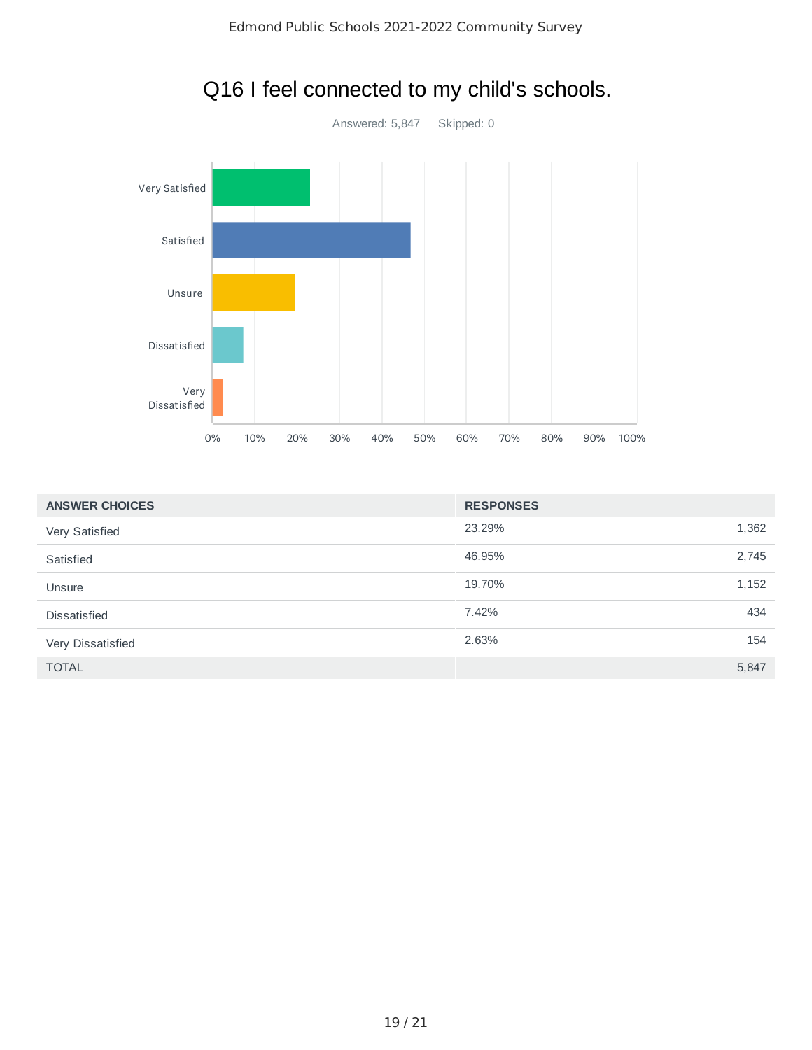

# Q16 I feel connected to my child's schools.

| <b>ANSWER CHOICES</b> | <b>RESPONSES</b> |       |
|-----------------------|------------------|-------|
| Very Satisfied        | 23.29%           | 1,362 |
| Satisfied             | 46.95%           | 2,745 |
| Unsure                | 19.70%           | 1,152 |
| <b>Dissatisfied</b>   | 7.42%            | 434   |
| Very Dissatisfied     | 2.63%            | 154   |
| <b>TOTAL</b>          |                  | 5,847 |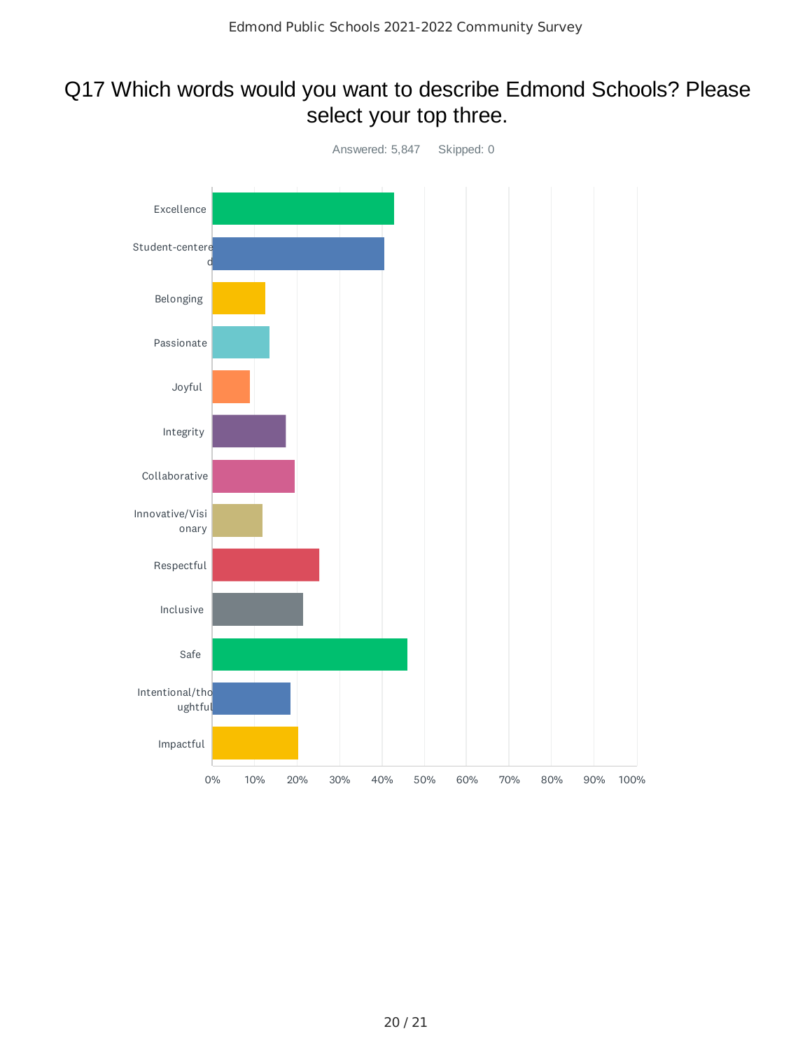### Q17 Which words would you want to describe Edmond Schools? Please select your top three.